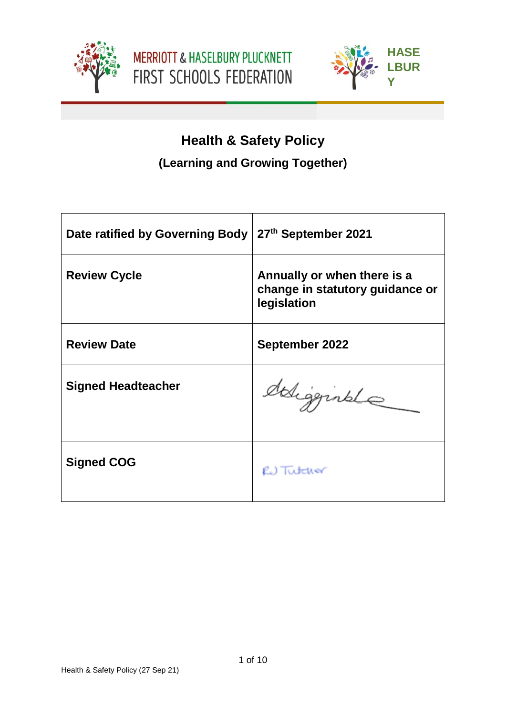





### **Health & Safety Policy**

### **(Learning and Growing Together)**

| Date ratified by Governing Body | 27th September 2021                                                           |
|---------------------------------|-------------------------------------------------------------------------------|
| <b>Review Cycle</b>             | Annually or when there is a<br>change in statutory guidance or<br>legislation |
| <b>Review Date</b>              | <b>September 2022</b>                                                         |
| <b>Signed Headteacher</b>       | deligginale                                                                   |
| <b>Signed COG</b>               | RU Tutcher                                                                    |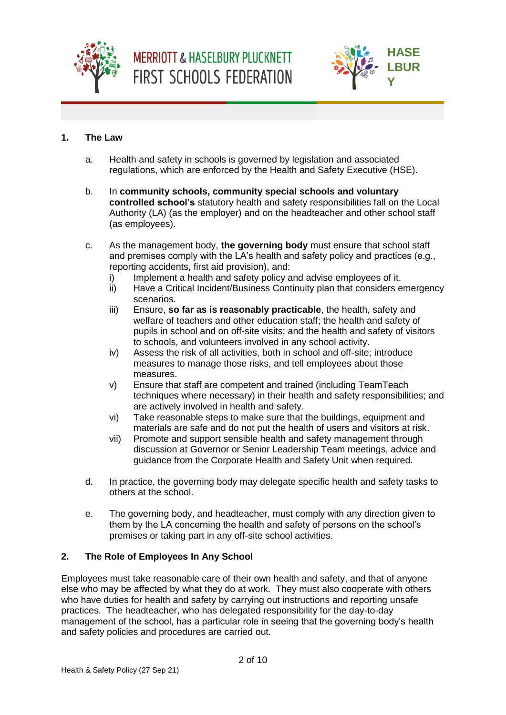



**PLUC** 

### **1. The Law**

- a. Health and safety in schools is governed by legislation and associated regulations, which are enforced by the Health and Safety Executive (HSE).
- b. In **community schools, community special schools and voluntary controlled school's** statutory health and safety responsibilities fall on the Local Authority (LA) (as the employer) and on the headteacher and other school staff (as employees).
- c. As the management body, **the governing body** must ensure that school staff and premises comply with the LA's health and safety policy and practices (e.g., reporting accidents, first aid provision), and:
	- i) Implement a health and safety policy and advise employees of it.
	- ii) Have a Critical Incident/Business Continuity plan that considers emergency scenarios.
	- iii) Ensure, **so far as is reasonably practicable**, the health, safety and welfare of teachers and other education staff; the health and safety of pupils in school and on off-site visits; and the health and safety of visitors to schools, and volunteers involved in any school activity.
	- iv) Assess the risk of all activities, both in school and off-site; introduce measures to manage those risks, and tell employees about those measures.
	- v) Ensure that staff are competent and trained (including TeamTeach techniques where necessary) in their health and safety responsibilities; and are actively involved in health and safety.
	- vi) Take reasonable steps to make sure that the buildings, equipment and materials are safe and do not put the health of users and visitors at risk.
	- vii) Promote and support sensible health and safety management through discussion at Governor or Senior Leadership Team meetings, advice and guidance from the Corporate Health and Safety Unit when required.
- d. In practice, the governing body may delegate specific health and safety tasks to others at the school.
- e. The governing body, and headteacher, must comply with any direction given to them by the LA concerning the health and safety of persons on the school's premises or taking part in any off-site school activities.

### **2. The Role of Employees In Any School**

Employees must take reasonable care of their own health and safety, and that of anyone else who may be affected by what they do at work. They must also cooperate with others who have duties for health and safety by carrying out instructions and reporting unsafe practices. The headteacher, who has delegated responsibility for the day-to-day management of the school, has a particular role in seeing that the governing body's health and safety policies and procedures are carried out.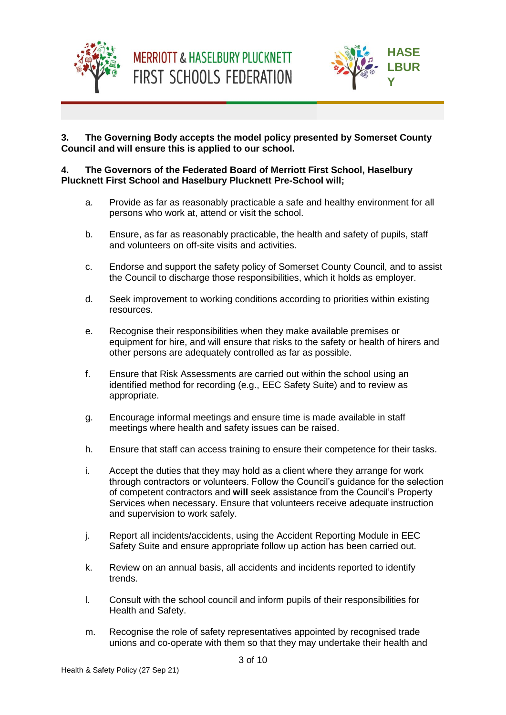



### **3. The Governing Body accepts the model policy presented by Somerset County Council and will ensure this is applied to our school.**

### **4. The Governors of the Federated Board of Merriott First School, Haselbury Plucknett First School and Haselbury Plucknett Pre-School will;**

- a. Provide as far as reasonably practicable a safe and healthy environment for all persons who work at, attend or visit the school.
- b. Ensure, as far as reasonably practicable, the health and safety of pupils, staff and volunteers on off-site visits and activities.
- c. Endorse and support the safety policy of Somerset County Council, and to assist the Council to discharge those responsibilities, which it holds as employer.
- d. Seek improvement to working conditions according to priorities within existing resources.
- e. Recognise their responsibilities when they make available premises or equipment for hire, and will ensure that risks to the safety or health of hirers and other persons are adequately controlled as far as possible.
- f. Ensure that Risk Assessments are carried out within the school using an identified method for recording (e.g., EEC Safety Suite) and to review as appropriate.
- g. Encourage informal meetings and ensure time is made available in staff meetings where health and safety issues can be raised.
- h. Ensure that staff can access training to ensure their competence for their tasks.
- i. Accept the duties that they may hold as a client where they arrange for work through contractors or volunteers. Follow the Council's guidance for the selection of competent contractors and **will** seek assistance from the Council's Property Services when necessary. Ensure that volunteers receive adequate instruction and supervision to work safely.
- j. Report all incidents/accidents, using the Accident Reporting Module in EEC Safety Suite and ensure appropriate follow up action has been carried out.
- k. Review on an annual basis, all accidents and incidents reported to identify trends.
- l. Consult with the school council and inform pupils of their responsibilities for Health and Safety.
- m. Recognise the role of safety representatives appointed by recognised trade unions and co-operate with them so that they may undertake their health and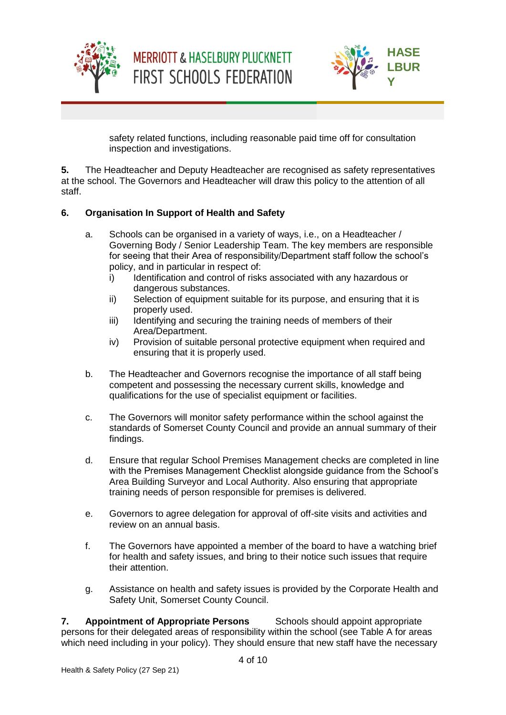



**PLUC** 

safety related functions, including reasonable paid time off for consultation inspection and investigations.

**5.** The Headteacher and Deputy Headteacher are recognised as safety representatives at the school. The Governors and Headteacher will draw this policy to the attention of all staff.

### **6. Organisation In Support of Health and Safety**

- a. Schools can be organised in a variety of ways, i.e., on a Headteacher / Governing Body / Senior Leadership Team. The key members are responsible for seeing that their Area of responsibility/Department staff follow the school's policy, and in particular in respect of:
	- i) Identification and control of risks associated with any hazardous or dangerous substances.
	- ii) Selection of equipment suitable for its purpose, and ensuring that it is properly used.
	- iii) Identifying and securing the training needs of members of their Area/Department.
	- iv) Provision of suitable personal protective equipment when required and ensuring that it is properly used.
- b. The Headteacher and Governors recognise the importance of all staff being competent and possessing the necessary current skills, knowledge and qualifications for the use of specialist equipment or facilities.
- c. The Governors will monitor safety performance within the school against the standards of Somerset County Council and provide an annual summary of their findings.
- d. Ensure that regular School Premises Management checks are completed in line with the Premises Management Checklist alongside guidance from the School's Area Building Surveyor and Local Authority. Also ensuring that appropriate training needs of person responsible for premises is delivered.
- e. Governors to agree delegation for approval of off-site visits and activities and review on an annual basis.
- f. The Governors have appointed a member of the board to have a watching brief for health and safety issues, and bring to their notice such issues that require their attention.
- g. Assistance on health and safety issues is provided by the Corporate Health and Safety Unit, Somerset County Council.

**7. Appointment of Appropriate Persons** Schools should appoint appropriate persons for their delegated areas of responsibility within the school (see Table A for areas which need including in your policy). They should ensure that new staff have the necessary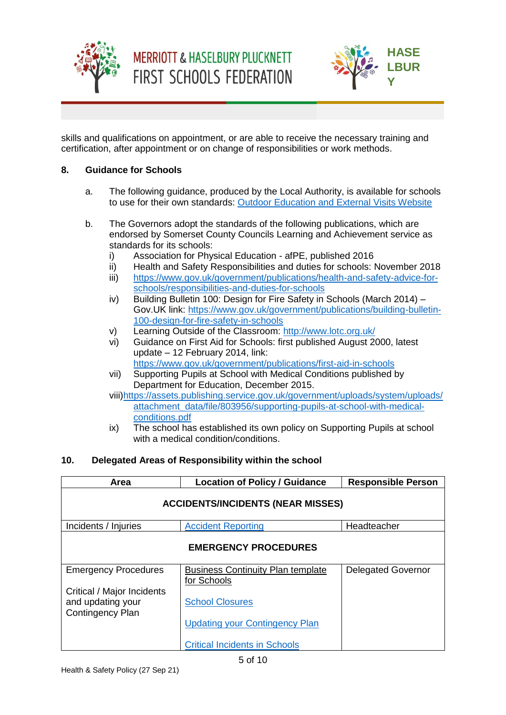



skills and qualifications on appointment, or are able to receive the necessary training and certification, after appointment or on change of responsibilities or work methods.

### **8. Guidance for Schools**

- a. The following guidance, produced by the Local Authority, is available for schools to use for their own standards: [Outdoor Education and External Visits Website](https://slp.somerset.org.uk/sites/sccoea/SitePages/Home.aspx)
- b. The Governors adopt the standards of the following publications, which are endorsed by Somerset County Councils Learning and Achievement service as standards for its schools:
	- i) Association for Physical Education afPE, published 2016
	- ii) Health and Safety Responsibilities and duties for schools: November 2018
	- iii) [https://www.gov.uk/government/publications/health-and-safety-advice-for](https://www.gov.uk/government/publications/health-and-safety-advice-for-schools/responsibilities-and-duties-for-schools)[schools/responsibilities-and-duties-for-schools](https://www.gov.uk/government/publications/health-and-safety-advice-for-schools/responsibilities-and-duties-for-schools)
	- iv) Building Bulletin 100: Design for Fire Safety in Schools (March 2014) Gov.UK link: [https://www.gov.uk/government/publications/building-bulletin-](https://www.gov.uk/government/publications/building-bulletin-100-design-for-fire-safety-in-schools)[100-design-for-fire-safety-in-schools](https://www.gov.uk/government/publications/building-bulletin-100-design-for-fire-safety-in-schools)
	- v) Learning Outside of the Classroom:<http://www.lotc.org.uk/>
	- vi) Guidance on First Aid for Schools: first published August 2000, latest update – 12 February 2014, link: <https://www.gov.uk/government/publications/first-aid-in-schools>
	- vii) Supporting Pupils at School with Medical Conditions published by Department for Education, December 2015.
	- viii[\)https://assets.publishing.service.gov.uk/government/uploads/system/uploads/](https://assets.publishing.service.gov.uk/government/uploads/system/uploads/attachment_data/file/803956/supporting-pupils-at-school-with-medical-conditions.pdf) [attachment\\_data/file/803956/supporting-pupils-at-school-with-medical](https://assets.publishing.service.gov.uk/government/uploads/system/uploads/attachment_data/file/803956/supporting-pupils-at-school-with-medical-conditions.pdf)[conditions.pdf](https://assets.publishing.service.gov.uk/government/uploads/system/uploads/attachment_data/file/803956/supporting-pupils-at-school-with-medical-conditions.pdf)
	- ix) The school has established its own policy on Supporting Pupils at school with a medical condition/conditions.

#### **10. Delegated Areas of Responsibility within the school**

| Area                                                      | <b>Location of Policy / Guidance</b>                                          | <b>Responsible Person</b> |  |
|-----------------------------------------------------------|-------------------------------------------------------------------------------|---------------------------|--|
| <b>ACCIDENTS/INCIDENTS (NEAR MISSES)</b>                  |                                                                               |                           |  |
| Incidents / Injuries                                      | <b>Accident Reporting</b>                                                     | Headteacher               |  |
| <b>EMERGENCY PROCEDURES</b>                               |                                                                               |                           |  |
| <b>Emergency Procedures</b><br>Critical / Major Incidents | <b>Business Continuity Plan template</b><br>for Schools                       | <b>Delegated Governor</b> |  |
| and updating your<br><b>Contingency Plan</b>              | <b>School Closures</b>                                                        |                           |  |
|                                                           | <b>Updating your Contingency Plan</b><br><b>Critical Incidents in Schools</b> |                           |  |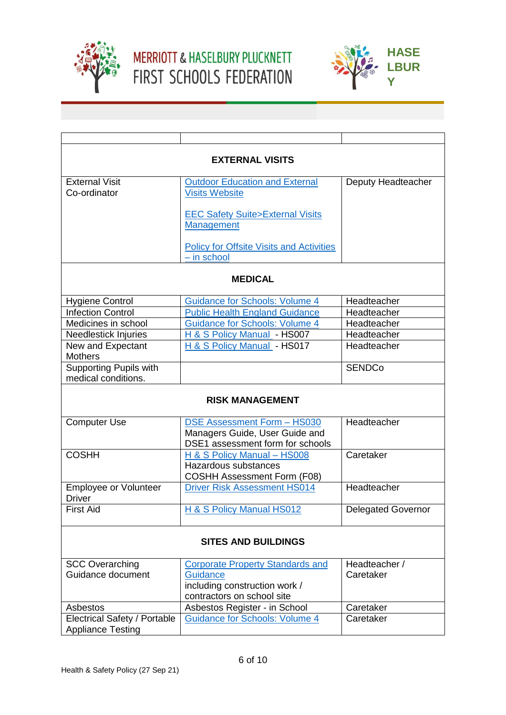

# **MERRIOTT & HASELBURY PLUCKNETT** FIRST SCHOOLS FEDERATION



| <b>EXTERNAL VISITS</b>                                   |                                                                                                          |                           |
|----------------------------------------------------------|----------------------------------------------------------------------------------------------------------|---------------------------|
| <b>External Visit</b><br>Co-ordinator                    | <b>Outdoor Education and External</b><br><b>Visits Website</b>                                           | Deputy Headteacher        |
|                                                          | <b>EEC Safety Suite&gt;External Visits</b>                                                               |                           |
|                                                          | Management                                                                                               |                           |
|                                                          | <b>Policy for Offsite Visits and Activities</b><br>- in school                                           |                           |
|                                                          | <b>MEDICAL</b>                                                                                           |                           |
| <b>Hygiene Control</b>                                   | <b>Guidance for Schools: Volume 4</b>                                                                    | Headteacher               |
| <b>Infection Control</b>                                 | <b>Public Health England Guidance</b>                                                                    | Headteacher               |
| Medicines in school                                      | <b>Guidance for Schools: Volume 4</b>                                                                    | Headteacher               |
| Needlestick Injuries                                     | H & S Policy Manual - HS007                                                                              | Headteacher               |
| New and Expectant<br><b>Mothers</b>                      | H & S Policy Manual - HS017                                                                              | Headteacher               |
| <b>Supporting Pupils with</b><br>medical conditions.     |                                                                                                          | <b>SENDCo</b>             |
| <b>RISK MANAGEMENT</b>                                   |                                                                                                          |                           |
| <b>Computer Use</b>                                      | <b>DSE Assessment Form - HS030</b><br>Managers Guide, User Guide and<br>DSE1 assessment form for schools | Headteacher               |
| <b>COSHH</b>                                             | H & S Policy Manual - HS008                                                                              | Caretaker                 |
|                                                          | Hazardous substances                                                                                     |                           |
|                                                          | <b>COSHH Assessment Form (F08)</b>                                                                       |                           |
| <b>Employee or Volunteer</b><br><b>Driver</b>            | <b>Driver Risk Assessment HS014</b>                                                                      | Headteacher               |
| <b>First Aid</b>                                         | H & S Policy Manual HS012                                                                                | <b>Delegated Governor</b> |
| <b>SITES AND BUILDINGS</b>                               |                                                                                                          |                           |
| <b>SCC Overarching</b>                                   | <b>Corporate Property Standards and</b>                                                                  | Headteacher /             |
| Guidance document                                        | <b>Guidance</b>                                                                                          | Caretaker                 |
|                                                          | including construction work /                                                                            |                           |
|                                                          | contractors on school site                                                                               |                           |
| Asbestos                                                 | Asbestos Register - in School                                                                            | Caretaker                 |
| Electrical Safety / Portable<br><b>Appliance Testing</b> | <b>Guidance for Schools: Volume 4</b>                                                                    | Caretaker                 |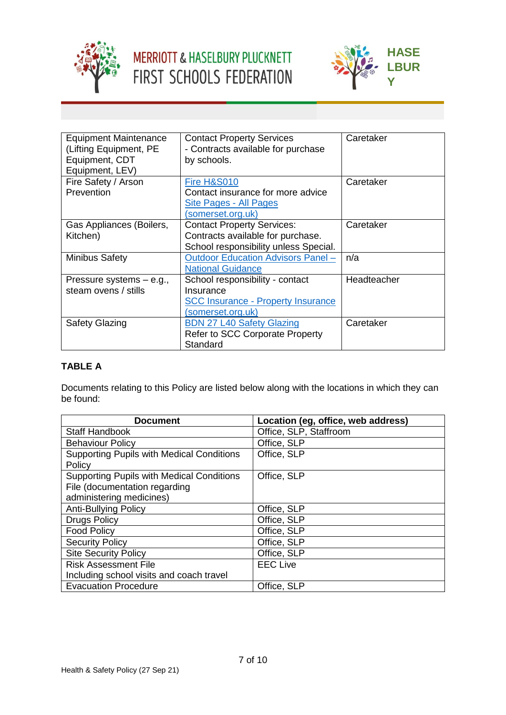

# **MERRIOTT & HASELBURY PLUCKNETT** FIRST SCHOOLS FEDERATION



| <b>Equipment Maintenance</b> | <b>Contact Property Services</b>          | Caretaker   |
|------------------------------|-------------------------------------------|-------------|
| (Lifting Equipment, PE       | - Contracts available for purchase        |             |
| Equipment, CDT               | by schools.                               |             |
| Equipment, LEV)              |                                           |             |
| Fire Safety / Arson          | Fire H&S010                               | Caretaker   |
| Prevention                   | Contact insurance for more advice         |             |
|                              | <b>Site Pages - All Pages</b>             |             |
|                              | (somerset.org.uk)                         |             |
| Gas Appliances (Boilers,     | <b>Contact Property Services:</b>         | Caretaker   |
| Kitchen)                     | Contracts available for purchase.         |             |
|                              | School responsibility unless Special.     |             |
| Minibus Safety               | <b>Outdoor Education Advisors Panel -</b> | n/a         |
|                              | <b>National Guidance</b>                  |             |
| Pressure systems – e.g.,     | School responsibility - contact           | Headteacher |
| steam ovens / stills         | Insurance                                 |             |
|                              | <b>SCC Insurance - Property Insurance</b> |             |
|                              | (somerset.org.uk)                         |             |
| <b>Safety Glazing</b>        | <b>BDN 27 L40 Safety Glazing</b>          | Caretaker   |
|                              | Refer to SCC Corporate Property           |             |
|                              | Standard                                  |             |

### **TABLE A**

Documents relating to this Policy are listed below along with the locations in which they can be found:

| <b>Document</b>                                  | Location (eg, office, web address) |
|--------------------------------------------------|------------------------------------|
| <b>Staff Handbook</b>                            | Office, SLP, Staffroom             |
| <b>Behaviour Policy</b>                          | Office, SLP                        |
| <b>Supporting Pupils with Medical Conditions</b> | Office, SLP                        |
| Policy                                           |                                    |
| <b>Supporting Pupils with Medical Conditions</b> | Office, SLP                        |
| File (documentation regarding                    |                                    |
| administering medicines)                         |                                    |
| <b>Anti-Bullying Policy</b>                      | Office, SLP                        |
| <b>Drugs Policy</b>                              | Office, SLP                        |
| <b>Food Policy</b>                               | Office, SLP                        |
| <b>Security Policy</b>                           | Office, SLP                        |
| <b>Site Security Policy</b>                      | Office, SLP                        |
| <b>Risk Assessment File</b>                      | <b>EEC Live</b>                    |
| Including school visits and coach travel         |                                    |
| <b>Evacuation Procedure</b>                      | Office, SLP                        |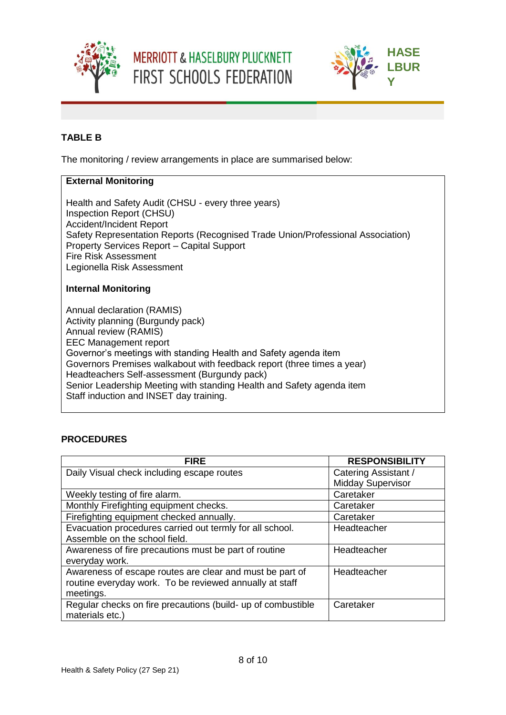





### **TABLE B**

The monitoring / review arrangements in place are summarised below:

### **External Monitoring**

Health and Safety Audit (CHSU - every three years) Inspection Report (CHSU) Accident/Incident Report Safety Representation Reports (Recognised Trade Union/Professional Association) Property Services Report – Capital Support Fire Risk Assessment Legionella Risk Assessment

#### **Internal Monitoring**

Annual declaration (RAMIS) Activity planning (Burgundy pack) Annual review (RAMIS) EEC Management report Governor's meetings with standing Health and Safety agenda item Governors Premises walkabout with feedback report (three times a year) Headteachers Self-assessment (Burgundy pack) Senior Leadership Meeting with standing Health and Safety agenda item Staff induction and INSET day training.

#### **PROCEDURES**

| <b>FIRE</b>                                                  | <b>RESPONSIBILITY</b>    |
|--------------------------------------------------------------|--------------------------|
| Daily Visual check including escape routes                   | Catering Assistant /     |
|                                                              | <b>Midday Supervisor</b> |
| Weekly testing of fire alarm.                                | Caretaker                |
| Monthly Firefighting equipment checks.                       | Caretaker                |
| Firefighting equipment checked annually.                     | Caretaker                |
| Evacuation procedures carried out termly for all school.     | Headteacher              |
| Assemble on the school field.                                |                          |
| Awareness of fire precautions must be part of routine        | Headteacher              |
| everyday work.                                               |                          |
| Awareness of escape routes are clear and must be part of     | Headteacher              |
| routine everyday work. To be reviewed annually at staff      |                          |
| meetings.                                                    |                          |
| Regular checks on fire precautions (build- up of combustible | Caretaker                |
| materials etc.)                                              |                          |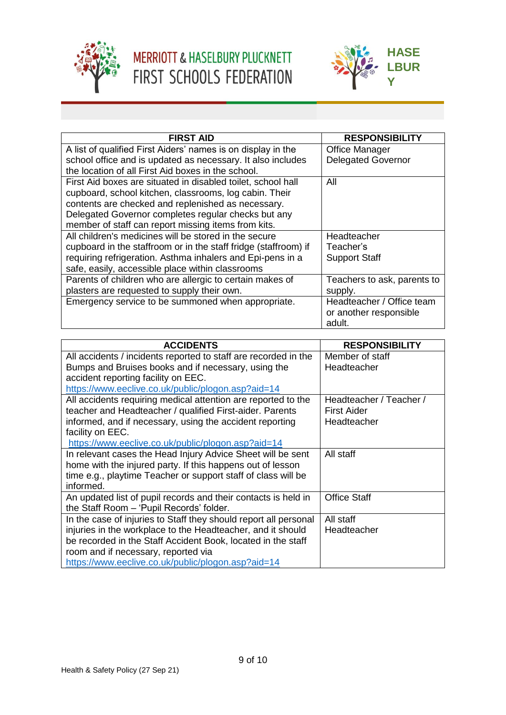

# **MERRIOTT & HASELBURY PLUCKNETT** FIRST SCHOOLS FEDERATION



| <b>FIRST AID</b>                                                | <b>RESPONSIBILITY</b>       |
|-----------------------------------------------------------------|-----------------------------|
| A list of qualified First Aiders' names is on display in the    | <b>Office Manager</b>       |
| school office and is updated as necessary. It also includes     | <b>Delegated Governor</b>   |
| the location of all First Aid boxes in the school.              |                             |
| First Aid boxes are situated in disabled toilet, school hall    | All                         |
| cupboard, school kitchen, classrooms, log cabin. Their          |                             |
| contents are checked and replenished as necessary.              |                             |
| Delegated Governor completes regular checks but any             |                             |
| member of staff can report missing items from kits.             |                             |
| All children's medicines will be stored in the secure           | Headteacher                 |
| cupboard in the staffroom or in the staff fridge (staffroom) if | Teacher's                   |
| requiring refrigeration. Asthma inhalers and Epi-pens in a      | <b>Support Staff</b>        |
| safe, easily, accessible place within classrooms                |                             |
| Parents of children who are allergic to certain makes of        | Teachers to ask, parents to |
| plasters are requested to supply their own.                     | supply.                     |
| Emergency service to be summoned when appropriate.              | Headteacher / Office team   |
|                                                                 | or another responsible      |
|                                                                 | adult.                      |

| <b>ACCIDENTS</b>                                                 | <b>RESPONSIBILITY</b>   |
|------------------------------------------------------------------|-------------------------|
| All accidents / incidents reported to staff are recorded in the  | Member of staff         |
| Bumps and Bruises books and if necessary, using the              | Headteacher             |
| accident reporting facility on EEC.                              |                         |
| https://www.eeclive.co.uk/public/plogon.asp?aid=14               |                         |
| All accidents requiring medical attention are reported to the    | Headteacher / Teacher / |
| teacher and Headteacher / qualified First-aider. Parents         | <b>First Aider</b>      |
| informed, and if necessary, using the accident reporting         | Headteacher             |
| facility on EEC.                                                 |                         |
| https://www.eeclive.co.uk/public/plogon.asp?aid=14               |                         |
| In relevant cases the Head Injury Advice Sheet will be sent      | All staff               |
| home with the injured party. If this happens out of lesson       |                         |
| time e.g., playtime Teacher or support staff of class will be    |                         |
| informed.                                                        |                         |
| An updated list of pupil records and their contacts is held in   | <b>Office Staff</b>     |
| the Staff Room - 'Pupil Records' folder.                         |                         |
| In the case of injuries to Staff they should report all personal | All staff               |
| injuries in the workplace to the Headteacher, and it should      | Headteacher             |
| be recorded in the Staff Accident Book, located in the staff     |                         |
| room and if necessary, reported via                              |                         |
| https://www.eeclive.co.uk/public/plogon.asp?aid=14               |                         |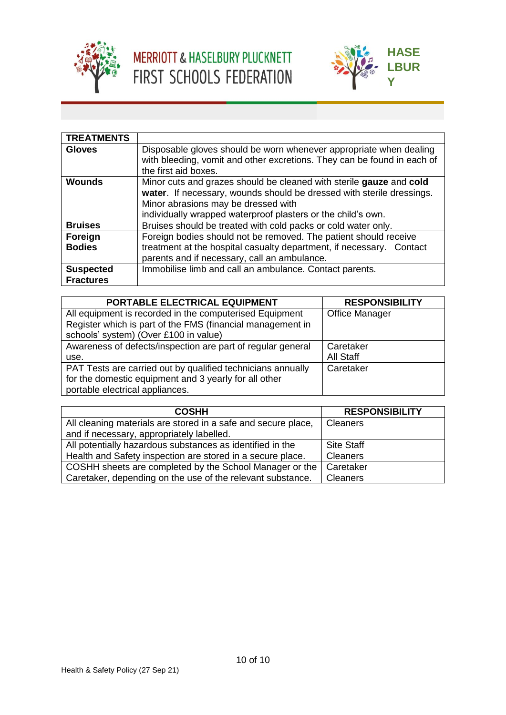



| <b>TREATMENTS</b>                    |                                                                                                                                                                                                                                                     |
|--------------------------------------|-----------------------------------------------------------------------------------------------------------------------------------------------------------------------------------------------------------------------------------------------------|
| <b>Gloves</b>                        | Disposable gloves should be worn whenever appropriate when dealing<br>with bleeding, vomit and other excretions. They can be found in each of<br>the first aid boxes.                                                                               |
| <b>Wounds</b>                        | Minor cuts and grazes should be cleaned with sterile gauze and cold<br>water. If necessary, wounds should be dressed with sterile dressings.<br>Minor abrasions may be dressed with<br>individually wrapped waterproof plasters or the child's own. |
| <b>Bruises</b>                       | Bruises should be treated with cold packs or cold water only.                                                                                                                                                                                       |
| Foreign<br><b>Bodies</b>             | Foreign bodies should not be removed. The patient should receive<br>treatment at the hospital casualty department, if necessary. Contact<br>parents and if necessary, call an ambulance.                                                            |
| <b>Suspected</b><br><b>Fractures</b> | Immobilise limb and call an ambulance. Contact parents.                                                                                                                                                                                             |

| PORTABLE ELECTRICAL EQUIPMENT                               | <b>RESPONSIBILITY</b> |
|-------------------------------------------------------------|-----------------------|
| All equipment is recorded in the computerised Equipment     | <b>Office Manager</b> |
| Register which is part of the FMS (financial management in  |                       |
| schools' system) (Over £100 in value)                       |                       |
| Awareness of defects/inspection are part of regular general | Caretaker             |
| use.                                                        | All Staff             |
| PAT Tests are carried out by qualified technicians annually | Caretaker             |
| for the domestic equipment and 3 yearly for all other       |                       |
| portable electrical appliances.                             |                       |

| <b>COSHH</b>                                                  | <b>RESPONSIBILITY</b> |
|---------------------------------------------------------------|-----------------------|
| All cleaning materials are stored in a safe and secure place, | <b>Cleaners</b>       |
| and if necessary, appropriately labelled.                     |                       |
| All potentially hazardous substances as identified in the     | <b>Site Staff</b>     |
| Health and Safety inspection are stored in a secure place.    | <b>Cleaners</b>       |
| COSHH sheets are completed by the School Manager or the       | Caretaker             |
| Caretaker, depending on the use of the relevant substance.    | <b>Cleaners</b>       |